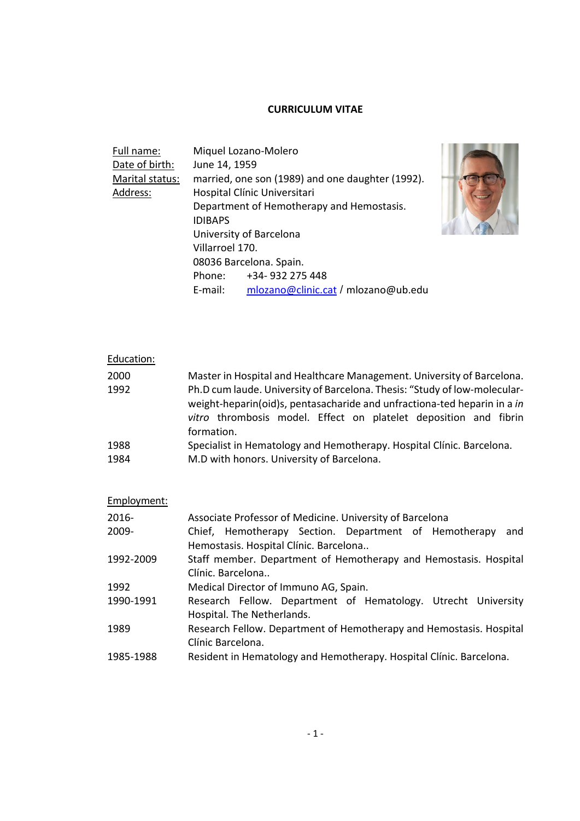# **CURRICULUM VITAE**

| Full name:      |                                           | Miquel Lozano-Molero                             |
|-----------------|-------------------------------------------|--------------------------------------------------|
| Date of birth:  | June 14, 1959                             |                                                  |
| Marital status: |                                           | married, one son (1989) and one daughter (1992). |
| Address:        |                                           | Hospital Clínic Universitari                     |
|                 | Department of Hemotherapy and Hemostasis. |                                                  |
|                 | <b>IDIBAPS</b>                            |                                                  |
|                 | University of Barcelona                   |                                                  |
|                 | Villarroel 170.                           |                                                  |
|                 | 08036 Barcelona. Spain.                   |                                                  |
|                 |                                           | Phone: +34-932 275 448                           |
|                 | E-mail:                                   | mlozano@clinic.cat / mlozano@ub.edu              |



| Education: |                                                                                                                                                                                                                                         |
|------------|-----------------------------------------------------------------------------------------------------------------------------------------------------------------------------------------------------------------------------------------|
| 2000       | Master in Hospital and Healthcare Management. University of Barcelona.                                                                                                                                                                  |
| 1992       | Ph.D cum laude. University of Barcelona. Thesis: "Study of low-molecular-<br>weight-heparin(oid)s, pentasacharide and unfractiona-ted heparin in a in<br>vitro thrombosis model. Effect on platelet deposition and fibrin<br>formation. |
| 1988       | Specialist in Hematology and Hemotherapy. Hospital Clínic. Barcelona.                                                                                                                                                                   |
| 1984       | M.D with honors. University of Barcelona.                                                                                                                                                                                               |

| Employment: |                                                                     |
|-------------|---------------------------------------------------------------------|
| $2016 -$    | Associate Professor of Medicine. University of Barcelona            |
| $2009 -$    | Chief, Hemotherapy Section. Department of Hemotherapy<br>and        |
|             | Hemostasis. Hospital Clínic. Barcelona                              |
| 1992-2009   | Staff member. Department of Hemotherapy and Hemostasis. Hospital    |
|             | Clínic, Barcelona                                                   |
| 1992        | Medical Director of Immuno AG, Spain.                               |
| 1990-1991   | Research Fellow. Department of Hematology. Utrecht University       |
|             | Hospital. The Netherlands.                                          |
| 1989        | Research Fellow. Department of Hemotherapy and Hemostasis. Hospital |
|             | Clínic Barcelona.                                                   |
| 1985-1988   | Resident in Hematology and Hemotherapy. Hospital Clínic. Barcelona. |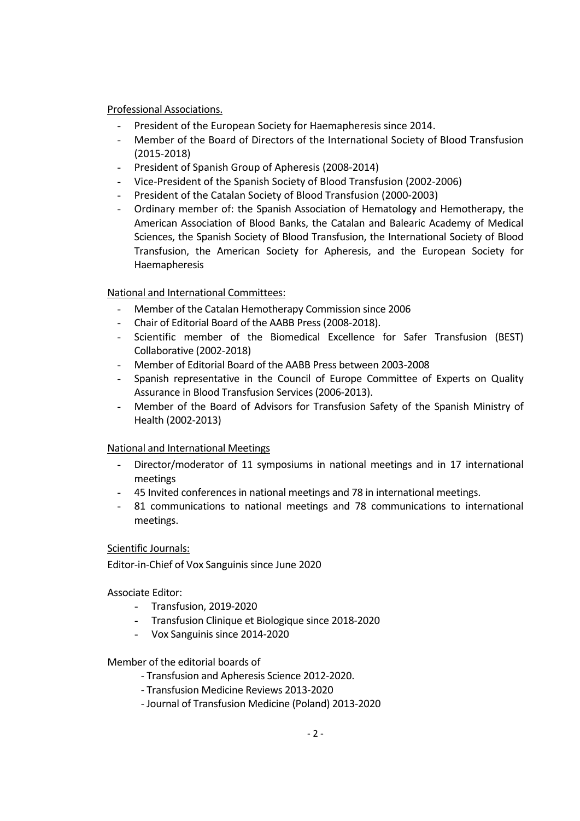### Professional Associations.

- President of the European Society for Haemapheresis since 2014.
- Member of the Board of Directors of the International Society of Blood Transfusion (2015‐2018)
- President of Spanish Group of Apheresis (2008‐2014)
- Vice‐President of the Spanish Society of Blood Transfusion (2002‐2006)
- President of the Catalan Society of Blood Transfusion (2000‐2003)
- Ordinary member of: the Spanish Association of Hematology and Hemotherapy, the American Association of Blood Banks, the Catalan and Balearic Academy of Medical Sciences, the Spanish Society of Blood Transfusion, the International Society of Blood Transfusion, the American Society for Apheresis, and the European Society for Haemapheresis

# National and International Committees:

- Member of the Catalan Hemotherapy Commission since 2006
- Chair of Editorial Board of the AABB Press (2008‐2018).
- Scientific member of the Biomedical Excellence for Safer Transfusion (BEST) Collaborative (2002‐2018)
- Member of Editorial Board of the AABB Press between 2003‐2008
- Spanish representative in the Council of Europe Committee of Experts on Quality Assurance in Blood Transfusion Services(2006‐2013).
- Member of the Board of Advisors for Transfusion Safety of the Spanish Ministry of Health (2002‐2013)

### National and International Meetings

- Director/moderator of 11 symposiums in national meetings and in 17 international meetings
- 45 Invited conferences in national meetings and 78 in international meetings.
- 81 communications to national meetings and 78 communications to international meetings.

### Scientific Journals:

Editor‐in‐Chief of Vox Sanguinis since June 2020

Associate Editor:

- Transfusion, 2019‐2020
- Transfusion Clinique et Biologique since 2018‐2020
- Vox Sanguinis since 2014‐2020

### Member of the editorial boards of

- ‐ Transfusion and Apheresis Science 2012‐2020.
- ‐ Transfusion Medicine Reviews 2013‐2020
- ‐ Journal of Transfusion Medicine (Poland) 2013‐2020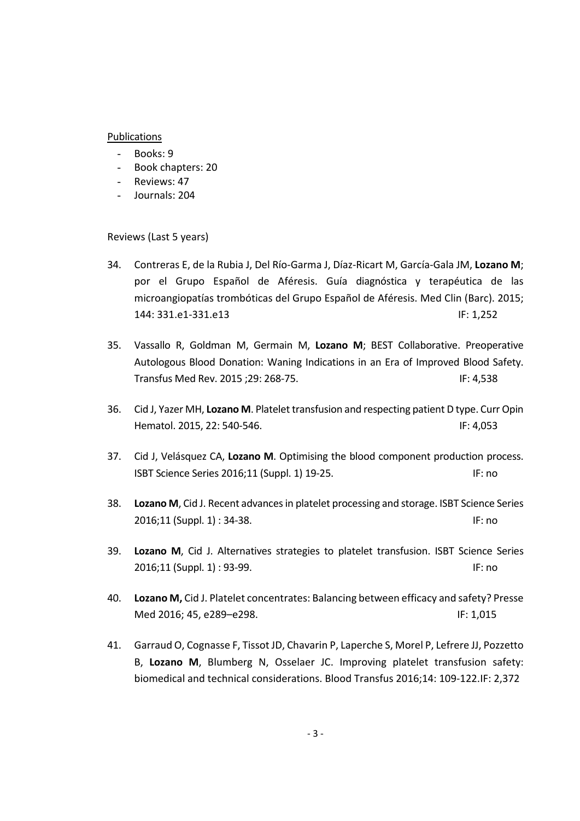#### Publications

- Books: 9
- Book chapters: 20
- Reviews: 47
- Journals: 204

Reviews (Last 5 years)

- 34. Contreras E, de la Rubia J, Del Río‐Garma J, Díaz‐Ricart M, García‐Gala JM, **Lozano M**; por el Grupo Español de Aféresis. Guía diagnóstica y terapéutica de las microangiopatías trombóticas del Grupo Español de Aféresis. Med Clin (Barc). 2015; 144: 331.e1-331.e13 IF: 1,252
- 35. Vassallo R, Goldman M, Germain M, **Lozano M**; BEST Collaborative. Preoperative Autologous Blood Donation: Waning Indications in an Era of Improved Blood Safety. Transfus Med Rev. 2015 ;29: 268‐75. IF: 4,538
- 36. Cid J, Yazer MH, **Lozano M**. Platelet transfusion and respecting patient D type. Curr Opin Hematol. 2015, 22: 540‐546. IF: 4,053
- 37. Cid J, Velásquez CA, **Lozano M**. Optimising the blood component production process. ISBT Science Series 2016;11 (Suppl. 1) 19‐25. IF: no
- 38. **Lozano M**, Cid J. Recent advancesin platelet processing and storage. ISBT Science Series 2016;11 (Suppl. 1) : 34-38. IF: no
- 39. **Lozano M**, Cid J. Alternatives strategies to platelet transfusion. ISBT Science Series 2016;11 (Suppl. 1) : 93-99. IF: no
- 40. **Lozano M,** Cid J. Platelet concentrates: Balancing between efficacy and safety? Presse Med 2016; 45, e289–e298. IF: 1,015
- 41. Garraud O, Cognasse F, Tissot JD, Chavarin P, Laperche S, Morel P, Lefrere JJ, Pozzetto B, **Lozano M**, Blumberg N, Osselaer JC. Improving platelet transfusion safety: biomedical and technical considerations. Blood Transfus 2016;14: 109‐122.IF: 2,372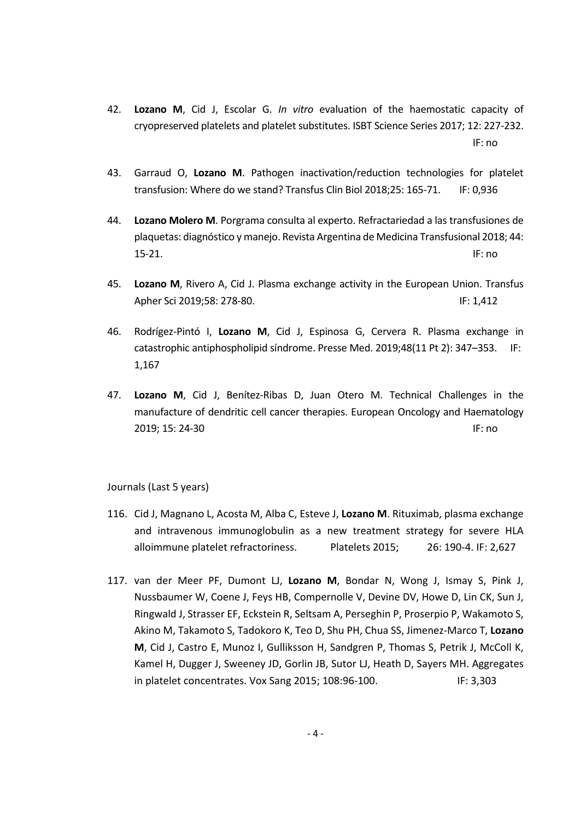- 42. **Lozano M**, Cid J, Escolar G. *In vitro* evaluation of the haemostatic capacity of cryopreserved platelets and platelet substitutes. ISBT Science Series 2017; 12: 227‐232. IF: no
- 43. Garraud O, **Lozano M**. Pathogen inactivation/reduction technologies for platelet transfusion: Where do we stand? Transfus Clin Biol 2018;25: 165‐71. IF: 0,936
- 44. **Lozano Molero M**. Porgrama consulta al experto. Refractariedad a las transfusiones de plaquetas: diagnóstico y manejo. Revista Argentina de Medicina Transfusional 2018; 44: 15‐21. IF: no
- 45. **Lozano M**, Rivero A, Cid J. Plasma exchange activity in the European Union. Transfus Apher Sci 2019;58: 278-80. IF: 1,412
- 46. Rodrígez‐Pintó I, **Lozano M**, Cid J, Espinosa G, Cervera R. Plasma exchange in catastrophic antiphospholipid síndrome. Presse Med. 2019;48(11 Pt 2): 347–353. IF: 1,167
- 47. **Lozano M**, Cid J, Benítez‐Ribas D, Juan Otero M. Technical Challenges in the manufacture of dendritic cell cancer therapies. European Oncology and Haematology 2019; 15: 24-30 **IF: no**

Journals (Last 5 years)

- 116. Cid J, Magnano L, Acosta M, Alba C, Esteve J, **Lozano M**. Rituximab, plasma exchange and intravenous immunoglobulin as a new treatment strategy for severe HLA alloimmune platelet refractoriness. Platelets 2015; 26: 190‐4. IF: 2,627
- 117. van der Meer PF, Dumont LJ, **Lozano M**, Bondar N, Wong J, Ismay S, Pink J, Nussbaumer W, Coene J, Feys HB, Compernolle V, Devine DV, Howe D, Lin CK, Sun J, Ringwald J, Strasser EF, Eckstein R, Seltsam A, Perseghin P, Proserpio P, Wakamoto S, Akino M, Takamoto S, Tadokoro K, Teo D, Shu PH, Chua SS, Jimenez‐Marco T, **Lozano M**, Cid J, Castro E, Munoz I, Gulliksson H, Sandgren P, Thomas S, Petrik J, McColl K, Kamel H, Dugger J, Sweeney JD, Gorlin JB, Sutor LJ, Heath D, Sayers MH. Aggregates in platelet concentrates. Vox Sang 2015; 108:96‐100. IF: 3,303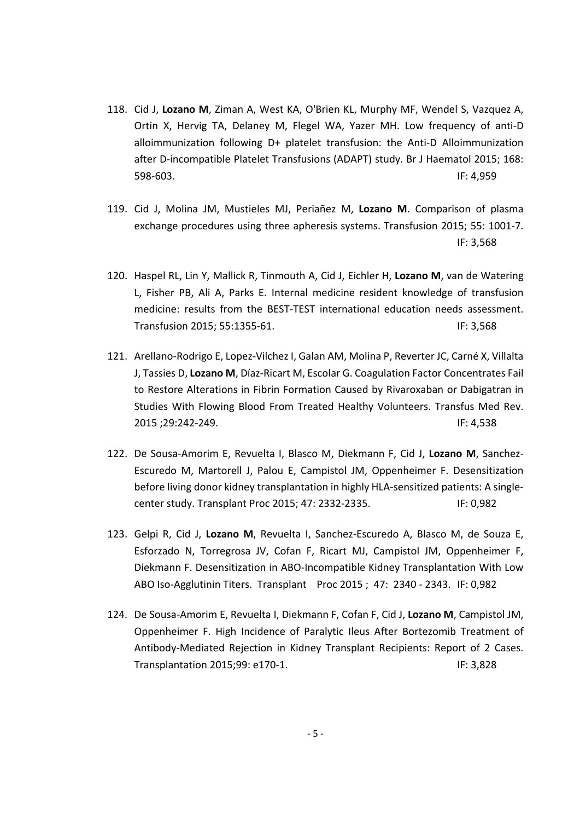- 118. Cid J, **Lozano M**, Ziman A, West KA, O'Brien KL, Murphy MF, Wendel S, Vazquez A, Ortin X, Hervig TA, Delaney M, Flegel WA, Yazer MH. Low frequency of anti‐D alloimmunization following D+ platelet transfusion: the Anti‐D Alloimmunization after D‐incompatible Platelet Transfusions (ADAPT) study. Br J Haematol 2015; 168: 598‐603. IF: 4,959
- 119. Cid J, Molina JM, Mustieles MJ, Periañez M, **Lozano M**. Comparison of plasma exchange procedures using three apheresis systems. Transfusion 2015; 55: 1001‐7. IF: 3,568
- 120. Haspel RL, Lin Y, Mallick R, Tinmouth A, Cid J, Eichler H, **Lozano M**, van de Watering L, Fisher PB, Ali A, Parks E. Internal medicine resident knowledge of transfusion medicine: results from the BEST‐TEST international education needs assessment. Transfusion 2015; 55:1355‐61. IF: 3,568
- 121. Arellano-Rodrigo E, Lopez-Vilchez I, Galan AM, Molina P, Reverter JC, Carné X, Villalta J, Tassies D, **Lozano M**, Díaz‐Ricart M, Escolar G. Coagulation Factor Concentrates Fail to Restore Alterations in Fibrin Formation Caused by Rivaroxaban or Dabigatran in Studies With Flowing Blood From Treated Healthy Volunteers. Transfus Med Rev. 2015 ;29:242‐249. IF: 4,538
- 122. De Sousa‐Amorim E, Revuelta I, Blasco M, Diekmann F, Cid J, **Lozano M**, Sanchez‐ Escuredo M, Martorell J, Palou E, Campistol JM, Oppenheimer F. Desensitization before living donor kidney transplantation in highly HLA‐sensitized patients: A single‐ center study. Transplant Proc 2015; 47: 2332‐2335. IF: 0,982
- 123. Gelpi R, Cid J, **Lozano M**, Revuelta I, Sanchez‐Escuredo A, Blasco M, de Souza E, Esforzado N, Torregrosa JV, Cofan F, Ricart MJ, Campistol JM, Oppenheimer F, Diekmann F. Desensitization in ABO‐Incompatible Kidney Transplantation With Low ABO Iso‐Agglutinin Titers. Transplant Proc 2015 ; 47: 2340 ‐ 2343. IF: 0,982
- 124. De Sousa‐Amorim E, Revuelta I, Diekmann F, Cofan F, Cid J, **Lozano M**, Campistol JM, Oppenheimer F. High Incidence of Paralytic Ileus After Bortezomib Treatment of Antibody‐Mediated Rejection in Kidney Transplant Recipients: Report of 2 Cases. Transplantation 2015;99: e170-1. IF: 3,828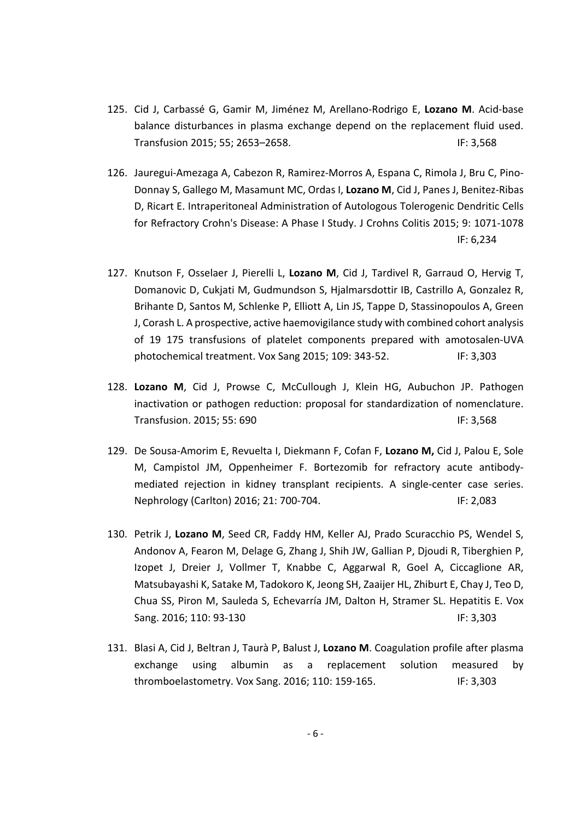- 125. Cid J, Carbassé G, Gamir M, Jiménez M, Arellano‐Rodrigo E, **Lozano M**. Acid‐base balance disturbances in plasma exchange depend on the replacement fluid used. Transfusion 2015; 55; 2653–2658. IF: 3,568
- 126. Jauregui-Amezaga A, Cabezon R, Ramirez-Morros A, Espana C, Rimola J, Bru C, Pino-Donnay S, Gallego M, Masamunt MC, Ordas I, **Lozano M**, Cid J, Panes J, Benitez‐Ribas D, Ricart E. Intraperitoneal Administration of Autologous Tolerogenic Dendritic Cells for Refractory Crohn's Disease: A Phase I Study. J Crohns Colitis 2015; 9: 1071‐1078 IF: 6,234
- 127. Knutson F, Osselaer J, Pierelli L, **Lozano M**, Cid J, Tardivel R, Garraud O, Hervig T, Domanovic D, Cukjati M, Gudmundson S, Hjalmarsdottir IB, Castrillo A, Gonzalez R, Brihante D, Santos M, Schlenke P, Elliott A, Lin JS, Tappe D, Stassinopoulos A, Green J, Corash L. A prospective, active haemovigilance study with combined cohort analysis of 19 175 transfusions of platelet components prepared with amotosalen‐UVA photochemical treatment. Vox Sang 2015; 109: 343‐52. IF: 3,303
- 128. **Lozano M**, Cid J, Prowse C, McCullough J, Klein HG, Aubuchon JP. Pathogen inactivation or pathogen reduction: proposal for standardization of nomenclature. Transfusion. 2015; 55: 690 IF: 3,568
- 129. De Sousa‐Amorim E, Revuelta I, Diekmann F, Cofan F, **Lozano M,** Cid J, Palou E, Sole M, Campistol JM, Oppenheimer F. Bortezomib for refractory acute antibody‐ mediated rejection in kidney transplant recipients. A single‐center case series. Nephrology (Carlton) 2016; 21: 700-704. IF: 2,083
- 130. Petrik J, **Lozano M**, Seed CR, Faddy HM, Keller AJ, Prado Scuracchio PS, Wendel S, Andonov A, Fearon M, Delage G, Zhang J, Shih JW, Gallian P, Djoudi R, Tiberghien P, Izopet J, Dreier J, Vollmer T, Knabbe C, Aggarwal R, Goel A, Ciccaglione AR, Matsubayashi K, Satake M, Tadokoro K, Jeong SH, Zaaijer HL, Zhiburt E, Chay J, Teo D, Chua SS, Piron M, Sauleda S, Echevarría JM, Dalton H, Stramer SL. Hepatitis E. Vox Sang. 2016; 110: 93-130 **IF: 3,303**
- 131. Blasi A, Cid J, Beltran J, Taurà P, Balust J, **Lozano M**. Coagulation profile after plasma exchange using albumin as a replacement solution measured by thromboelastometry. Vox Sang. 2016; 110: 159-165. IF: 3,303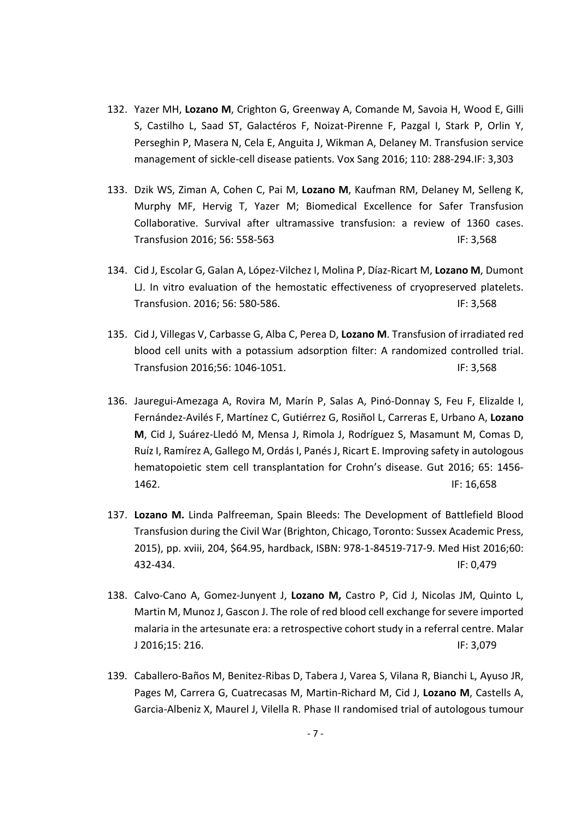- 132. Yazer MH, **Lozano M**, Crighton G, Greenway A, Comande M, Savoia H, Wood E, Gilli S, Castilho L, Saad ST, Galactéros F, Noizat‐Pirenne F, Pazgal I, Stark P, Orlin Y, Perseghin P, Masera N, Cela E, Anguita J, Wikman A, Delaney M. Transfusion service management of sickle‐cell disease patients. Vox Sang 2016; 110: 288‐294.IF: 3,303
- 133. Dzik WS, Ziman A, Cohen C, Pai M, **Lozano M**, Kaufman RM, Delaney M, Selleng K, Murphy MF, Hervig T, Yazer M; Biomedical Excellence for Safer Transfusion Collaborative. Survival after ultramassive transfusion: a review of 1360 cases. Transfusion 2016; 56: 558‐563 IF: 3,568
- 134. Cid J, Escolar G, Galan A, López‐Vilchez I, Molina P, Díaz‐Ricart M, **Lozano M**, Dumont LJ. In vitro evaluation of the hemostatic effectiveness of cryopreserved platelets. Transfusion. 2016; 56: 580-586. IF: 3,568
- 135. Cid J, Villegas V, Carbasse G, Alba C, Perea D, **Lozano M**. Transfusion of irradiated red blood cell units with a potassium adsorption filter: A randomized controlled trial. Transfusion 2016;56: 1046-1051. IF: 3,568
- 136. Jauregui-Amezaga A, Rovira M, Marín P, Salas A, Pinó-Donnay S, Feu F. Elizalde I. Fernández‐Avilés F, Martínez C, Gutiérrez G, Rosiñol L, Carreras E, Urbano A, **Lozano M**, Cid J, Suárez‐Lledó M, Mensa J, Rimola J, Rodríguez S, Masamunt M, Comas D, Ruíz I, Ramírez A, Gallego M, Ordás I, Panés J, Ricart E. Improving safety in autologous hematopoietic stem cell transplantation for Crohn's disease. Gut 2016; 65: 1456‐ 1462. **IF: 16,658**
- 137. **Lozano M.** Linda Palfreeman, Spain Bleeds: The Development of Battlefield Blood Transfusion during the Civil War (Brighton, Chicago, Toronto: Sussex Academic Press, 2015), pp. xviii, 204, \$64.95, hardback, ISBN: 978‐1‐84519‐717‐9. Med Hist 2016;60: 432‐434. IF: 0,479
- 138. Calvo‐Cano A, Gomez‐Junyent J, **Lozano M,** Castro P, Cid J, Nicolas JM, Quinto L, Martin M, Munoz J, Gascon J. The role of red blood cell exchange for severe imported malaria in the artesunate era: a retrospective cohort study in a referral centre. Malar J 2016;15: 216. IF: 3,079
- 139. Caballero‐Baños M, Benitez‐Ribas D, Tabera J, Varea S, Vilana R, Bianchi L, Ayuso JR, Pages M, Carrera G, Cuatrecasas M, Martin‐Richard M, Cid J, **Lozano M**, Castells A, Garcia‐Albeniz X, Maurel J, Vilella R. Phase II randomised trial of autologous tumour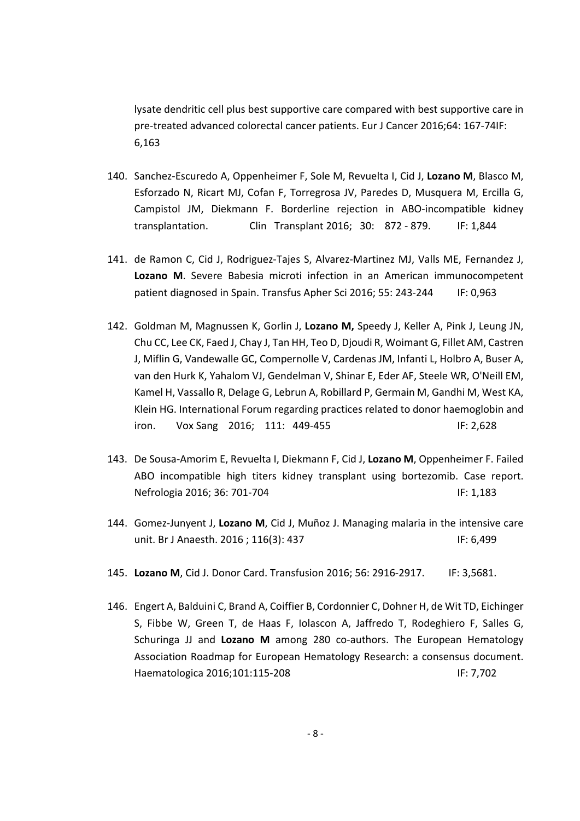lysate dendritic cell plus best supportive care compared with best supportive care in pre‐treated advanced colorectal cancer patients. Eur J Cancer 2016;64: 167‐74IF: 6,163

- 140. Sanchez‐Escuredo A, Oppenheimer F, Sole M, Revuelta I, Cid J, **Lozano M**, Blasco M, Esforzado N, Ricart MJ, Cofan F, Torregrosa JV, Paredes D, Musquera M, Ercilla G, Campistol JM, Diekmann F. Borderline rejection in ABO‐incompatible kidney transplantation. Clin Transplant 2016; 30: 872 ‐ 879. IF: 1,844
- 141. de Ramon C, Cid J, Rodriguez-Tajes S, Alvarez-Martinez MJ, Valls ME, Fernandez J, **Lozano M**. Severe Babesia microti infection in an American immunocompetent patient diagnosed in Spain. Transfus Apher Sci 2016; 55: 243-244 IF: 0,963
- 142. Goldman M, Magnussen K, Gorlin J, **Lozano M,** Speedy J, Keller A, Pink J, Leung JN, Chu CC, Lee CK, Faed J, Chay J, Tan HH, Teo D, Djoudi R, Woimant G, Fillet AM, Castren J, Miflin G, Vandewalle GC, Compernolle V, Cardenas JM, Infanti L, Holbro A, Buser A, van den Hurk K, Yahalom VJ, Gendelman V, Shinar E, Eder AF, Steele WR, O'Neill EM, Kamel H, Vassallo R, Delage G, Lebrun A, Robillard P, Germain M, Gandhi M, West KA, Klein HG. International Forum regarding practices related to donor haemoglobin and iron. Vox Sang 2016; 111: 449‐455 IF: 2,628
- 143. De Sousa‐Amorim E, Revuelta I, Diekmann F, Cid J, **Lozano M**, Oppenheimer F. Failed ABO incompatible high titers kidney transplant using bortezomib. Case report. Nefrologia 2016; 36: 701-704 IF: 1,183
- 144. Gomez‐Junyent J, **Lozano M**, Cid J, Muñoz J. Managing malaria in the intensive care unit. Br J Anaesth. 2016 ; 116(3): 437 IF: 6,499
- 145. **Lozano M**, Cid J. Donor Card. Transfusion 2016; 56: 2916‐2917. IF: 3,5681.
- 146. Engert A, Balduini C, Brand A, Coiffier B, Cordonnier C, Dohner H, de Wit TD, Eichinger S, Fibbe W, Green T, de Haas F, Iolascon A, Jaffredo T, Rodeghiero F, Salles G, Schuringa JJ and **Lozano M** among 280 co‐authors. The European Hematology Association Roadmap for European Hematology Research: a consensus document. Haematologica 2016;101:115-208 IF: 7,702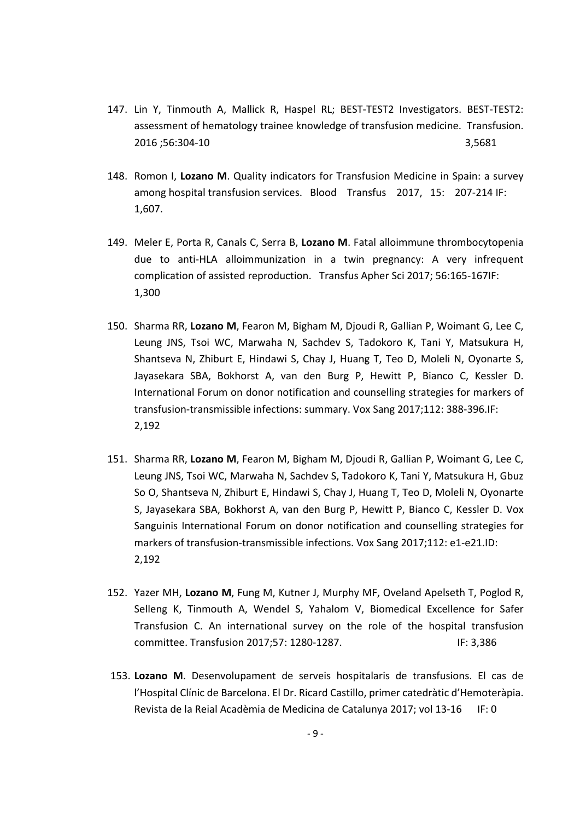- 147. Lin Y, Tinmouth A, Mallick R, Haspel RL; BEST‐TEST2 Investigators. BEST‐TEST2: assessment of hematology trainee knowledge of transfusion medicine. Transfusion. 2016 ;56:304‐10 3,5681
- 148. Romon I, **Lozano M**. Quality indicators for Transfusion Medicine in Spain: a survey among hospital transfusion services. Blood Transfus 2017, 15: 207‐214 IF: 1,607.
- 149. Meler E, Porta R, Canals C, Serra B, **Lozano M**. Fatal alloimmune thrombocytopenia due to anti‐HLA alloimmunization in a twin pregnancy: A very infrequent complication of assisted reproduction. Transfus Apher Sci 2017; 56:165‐167IF: 1,300
- 150. Sharma RR, **Lozano M**, Fearon M, Bigham M, Djoudi R, Gallian P, Woimant G, Lee C, Leung JNS, Tsoi WC, Marwaha N, Sachdev S, Tadokoro K, Tani Y, Matsukura H, Shantseva N, Zhiburt E, Hindawi S, Chay J, Huang T, Teo D, Moleli N, Oyonarte S, Jayasekara SBA, Bokhorst A, van den Burg P, Hewitt P, Bianco C, Kessler D. International Forum on donor notification and counselling strategies for markers of transfusion‐transmissible infections: summary. Vox Sang 2017;112: 388‐396.IF: 2,192
- 151. Sharma RR, **Lozano M**, Fearon M, Bigham M, Djoudi R, Gallian P, Woimant G, Lee C, Leung JNS, Tsoi WC, Marwaha N, Sachdev S, Tadokoro K, Tani Y, Matsukura H, Gbuz So O, Shantseva N, Zhiburt E, Hindawi S, Chay J, Huang T, Teo D, Moleli N, Oyonarte S, Jayasekara SBA, Bokhorst A, van den Burg P, Hewitt P, Bianco C, Kessler D. Vox Sanguinis International Forum on donor notification and counselling strategies for markers of transfusion-transmissible infections. Vox Sang 2017;112: e1-e21.ID: 2,192
- 152. Yazer MH, **Lozano M**, Fung M, Kutner J, Murphy MF, Oveland Apelseth T, Poglod R, Selleng K, Tinmouth A, Wendel S, Yahalom V, Biomedical Excellence for Safer Transfusion C. An international survey on the role of the hospital transfusion committee. Transfusion 2017;57: 1280‐1287. IF: 3,386
- 153. **Lozano M**. Desenvolupament de serveis hospitalaris de transfusions. El cas de l'Hospital Clínic de Barcelona. El Dr. Ricard Castillo, primer catedràtic d'Hemoteràpia. Revista de la Reial Acadèmia de Medicina de Catalunya 2017; vol 13‐16 IF: 0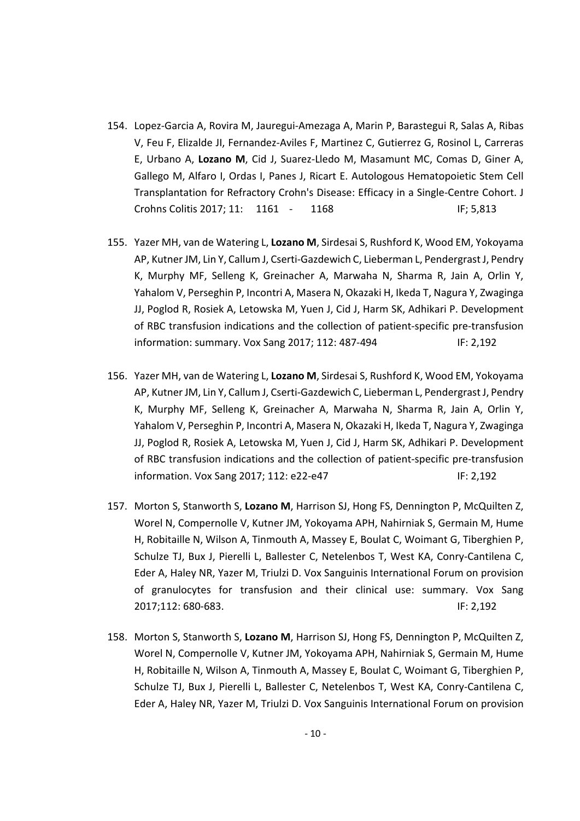- 154. Lopez‐Garcia A, Rovira M, Jauregui‐Amezaga A, Marin P, Barastegui R, Salas A, Ribas V, Feu F, Elizalde JI, Fernandez‐Aviles F, Martinez C, Gutierrez G, Rosinol L, Carreras E, Urbano A, **Lozano M**, Cid J, Suarez‐Lledo M, Masamunt MC, Comas D, Giner A, Gallego M, Alfaro I, Ordas I, Panes J, Ricart E. Autologous Hematopoietic Stem Cell Transplantation for Refractory Crohn's Disease: Efficacy in a Single‐Centre Cohort. J Crohns Colitis 2017; 11: 1161 ‐ 1168 IF; 5,813
- 155. Yazer MH, van de Watering L, **Lozano M**, Sirdesai S, Rushford K, Wood EM, Yokoyama AP, KutnerJM, Lin Y, Callum J, Cserti‐Gazdewich C, Lieberman L, PendergrastJ, Pendry K, Murphy MF, Selleng K, Greinacher A, Marwaha N, Sharma R, Jain A, Orlin Y, Yahalom V, Perseghin P, Incontri A, Masera N, Okazaki H, Ikeda T, Nagura Y, Zwaginga JJ, Poglod R, Rosiek A, Letowska M, Yuen J, Cid J, Harm SK, Adhikari P. Development of RBC transfusion indications and the collection of patient‐specific pre‐transfusion information: summary. Vox Sang 2017; 112: 487-494 IF: 2,192
- 156. Yazer MH, van de Watering L, **Lozano M**, Sirdesai S, Rushford K, Wood EM, Yokoyama AP, KutnerJM, Lin Y, Callum J, Cserti‐Gazdewich C, Lieberman L, Pendergrast J, Pendry K, Murphy MF, Selleng K, Greinacher A, Marwaha N, Sharma R, Jain A, Orlin Y, Yahalom V, Perseghin P, Incontri A, Masera N, Okazaki H, Ikeda T, Nagura Y, Zwaginga JJ, Poglod R, Rosiek A, Letowska M, Yuen J, Cid J, Harm SK, Adhikari P. Development of RBC transfusion indications and the collection of patient‐specific pre‐transfusion information. Vox Sang 2017; 112: e22-e47 IF: 2,192
- 157. Morton S, Stanworth S, **Lozano M**, Harrison SJ, Hong FS, Dennington P, McQuilten Z, Worel N, Compernolle V, Kutner JM, Yokoyama APH, Nahirniak S, Germain M, Hume H, Robitaille N, Wilson A, Tinmouth A, Massey E, Boulat C, Woimant G, Tiberghien P, Schulze TJ, Bux J, Pierelli L, Ballester C, Netelenbos T, West KA, Conry‐Cantilena C, Eder A, Haley NR, Yazer M, Triulzi D. Vox Sanguinis International Forum on provision of granulocytes for transfusion and their clinical use: summary. Vox Sang 2017;112: 680‐683. IF: 2,192
- 158. Morton S, Stanworth S, **Lozano M**, Harrison SJ, Hong FS, Dennington P, McQuilten Z, Worel N, Compernolle V, Kutner JM, Yokoyama APH, Nahirniak S, Germain M, Hume H, Robitaille N, Wilson A, Tinmouth A, Massey E, Boulat C, Woimant G, Tiberghien P, Schulze TJ, Bux J, Pierelli L, Ballester C, Netelenbos T, West KA, Conry‐Cantilena C, Eder A, Haley NR, Yazer M, Triulzi D. Vox Sanguinis International Forum on provision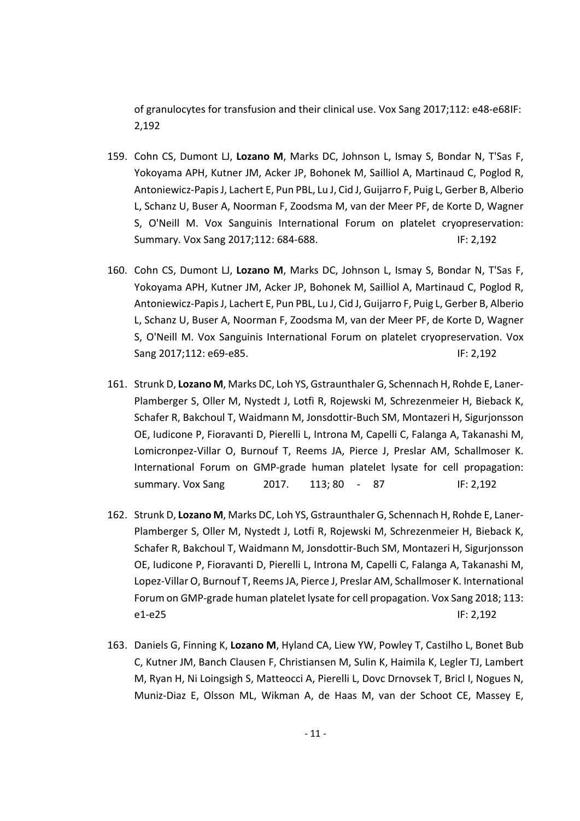of granulocytes for transfusion and their clinical use. Vox Sang 2017;112: e48‐e68IF: 2,192

- 159. Cohn CS, Dumont LJ, **Lozano M**, Marks DC, Johnson L, Ismay S, Bondar N, T'Sas F, Yokoyama APH, Kutner JM, Acker JP, Bohonek M, Sailliol A, Martinaud C, Poglod R, Antoniewicz‐PapisJ, Lachert E, Pun PBL, Lu J, Cid J, Guijarro F, Puig L, Gerber B, Alberio L, Schanz U, Buser A, Noorman F, Zoodsma M, van der Meer PF, de Korte D, Wagner S, O'Neill M. Vox Sanguinis International Forum on platelet cryopreservation: Summary. Vox Sang 2017;112: 684-688. IF: 2,192
- 160. Cohn CS, Dumont LJ, **Lozano M**, Marks DC, Johnson L, Ismay S, Bondar N, T'Sas F, Yokoyama APH, Kutner JM, Acker JP, Bohonek M, Sailliol A, Martinaud C, Poglod R, Antoniewicz‐PapisJ, Lachert E, Pun PBL, Lu J, Cid J, Guijarro F, Puig L, Gerber B, Alberio L, Schanz U, Buser A, Noorman F, Zoodsma M, van der Meer PF, de Korte D, Wagner S, O'Neill M. Vox Sanguinis International Forum on platelet cryopreservation. Vox Sang 2017;112: e69-e85. IF: 2,192
- 161. Strunk D, **Lozano M**, Marks DC, Loh YS, Gstraunthaler G, Schennach H, Rohde E, Laner‐ Plamberger S, Oller M, Nystedt J, Lotfi R, Rojewski M, Schrezenmeier H, Bieback K, Schafer R, Bakchoul T, Waidmann M, Jonsdottir‐Buch SM, Montazeri H, Sigurjonsson OE, Iudicone P, Fioravanti D, Pierelli L, Introna M, Capelli C, Falanga A, Takanashi M, Lomicronpez‐Villar O, Burnouf T, Reems JA, Pierce J, Preslar AM, Schallmoser K. International Forum on GMP‐grade human platelet lysate for cell propagation: summary. Vox Sang 2017. 113; 80 ‐ 87 IF: 2,192
- 162. Strunk D, **Lozano M**, Marks DC, Loh YS, Gstraunthaler G, Schennach H, Rohde E, Laner‐ Plamberger S, Oller M, Nystedt J, Lotfi R, Rojewski M, Schrezenmeier H, Bieback K, Schafer R, Bakchoul T, Waidmann M, Jonsdottir‐Buch SM, Montazeri H, Sigurjonsson OE, Iudicone P, Fioravanti D, Pierelli L, Introna M, Capelli C, Falanga A, Takanashi M, Lopez‐Villar O, Burnouf T, ReemsJA, Pierce J, Preslar AM, Schallmoser K. International Forum on GMP‐grade human platelet lysate for cell propagation. Vox Sang 2018; 113: e1‐e25 IF: 2,192
- 163. Daniels G, Finning K, **Lozano M**, Hyland CA, Liew YW, Powley T, Castilho L, Bonet Bub C, Kutner JM, Banch Clausen F, Christiansen M, Sulin K, Haimila K, Legler TJ, Lambert M, Ryan H, Ni Loingsigh S, Matteocci A, Pierelli L, Dovc Drnovsek T, Bricl I, Nogues N, Muniz‐Diaz E, Olsson ML, Wikman A, de Haas M, van der Schoot CE, Massey E,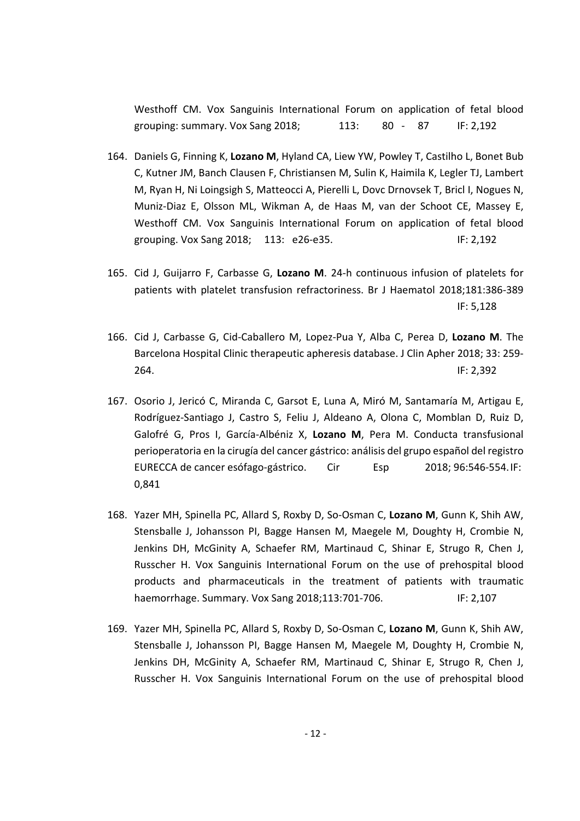Westhoff CM. Vox Sanguinis International Forum on application of fetal blood grouping: summary. Vox Sang 2018; 113: 80 ‐ 87 IF: 2,192

- 164. Daniels G, Finning K, **Lozano M**, Hyland CA, Liew YW, Powley T, Castilho L, Bonet Bub C, Kutner JM, Banch Clausen F, Christiansen M, Sulin K, Haimila K, Legler TJ, Lambert M, Ryan H, Ni Loingsigh S, Matteocci A, Pierelli L, Dovc Drnovsek T, Bricl I, Nogues N, Muniz‐Diaz E, Olsson ML, Wikman A, de Haas M, van der Schoot CE, Massey E, Westhoff CM. Vox Sanguinis International Forum on application of fetal blood grouping. Vox Sang 2018; 113: e26‐e35. IF: 2,192
- 165. Cid J, Guijarro F, Carbasse G, **Lozano M**. 24‐h continuous infusion of platelets for patients with platelet transfusion refractoriness. Br J Haematol 2018;181:386‐389 IF: 5,128
- 166. Cid J, Carbasse G, Cid‐Caballero M, Lopez‐Pua Y, Alba C, Perea D, **Lozano M**. The Barcelona Hospital Clinic therapeutic apheresis database. J Clin Apher 2018; 33: 259‐ 264. IF: 2,392
- 167. Osorio J, Jericó C, Miranda C, Garsot E, Luna A, Miró M, Santamaría M, Artigau E, Rodríguez‐Santiago J, Castro S, Feliu J, Aldeano A, Olona C, Momblan D, Ruiz D, Galofré G, Pros I, García‐Albéniz X, **Lozano M**, Pera M. Conducta transfusional perioperatoria en la cirugía del cancer gástrico: análisis del grupo español del registro EURECCA de cancer esófago‐gástrico. Cir Esp 2018; 96:546‐554.IF: 0,841
- 168. Yazer MH, Spinella PC, Allard S, Roxby D, So‐Osman C, **Lozano M**, Gunn K, Shih AW, Stensballe J, Johansson PI, Bagge Hansen M, Maegele M, Doughty H, Crombie N, Jenkins DH, McGinity A, Schaefer RM, Martinaud C, Shinar E, Strugo R, Chen J, Russcher H. Vox Sanguinis International Forum on the use of prehospital blood products and pharmaceuticals in the treatment of patients with traumatic haemorrhage. Summary. Vox Sang 2018;113:701-706. IF: 2,107
- 169. Yazer MH, Spinella PC, Allard S, Roxby D, So‐Osman C, **Lozano M**, Gunn K, Shih AW, Stensballe J, Johansson PI, Bagge Hansen M, Maegele M, Doughty H, Crombie N, Jenkins DH, McGinity A, Schaefer RM, Martinaud C, Shinar E, Strugo R, Chen J, Russcher H. Vox Sanguinis International Forum on the use of prehospital blood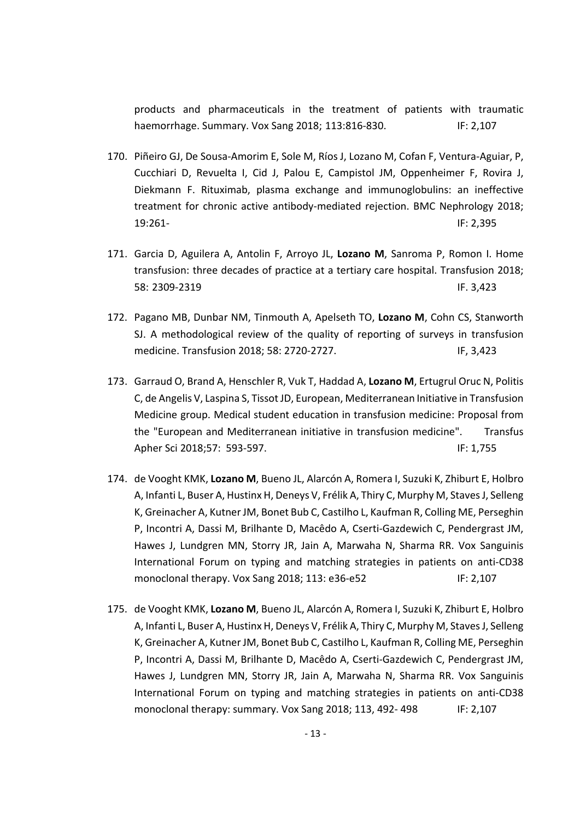products and pharmaceuticals in the treatment of patients with traumatic haemorrhage. Summary. Vox Sang 2018; 113:816‐830. IF: 2,107

- 170. Piñeiro GJ, De Sousa‐Amorim E, Sole M, Ríos J, Lozano M, Cofan F, Ventura‐Aguiar, P, Cucchiari D, Revuelta I, Cid J, Palou E, Campistol JM, Oppenheimer F, Rovira J, Diekmann F. Rituximab, plasma exchange and immunoglobulins: an ineffective treatment for chronic active antibody‐mediated rejection. BMC Nephrology 2018; 19:261‐ IF: 2,395
- 171. Garcia D, Aguilera A, Antolin F, Arroyo JL, **Lozano M**, Sanroma P, Romon I. Home transfusion: three decades of practice at a tertiary care hospital. Transfusion 2018; 58: 2309‐2319 IF. 3,423
- 172. Pagano MB, Dunbar NM, Tinmouth A, Apelseth TO, **Lozano M**, Cohn CS, Stanworth SJ. A methodological review of the quality of reporting of surveys in transfusion medicine. Transfusion 2018; 58: 2720-2727. IF, 3,423
- 173. Garraud O, Brand A, Henschler R, Vuk T, Haddad A, **Lozano M**, Ertugrul Oruc N, Politis C, de Angelis V, Laspina S, Tissot JD, European, Mediterranean Initiative in Transfusion Medicine group. Medical student education in transfusion medicine: Proposal from the "European and Mediterranean initiative in transfusion medicine". Transfus Apher Sci 2018;57: 593‐597. IF: 1,755
- 174. de Vooght KMK, **Lozano M**, Bueno JL, Alarcón A, Romera I, Suzuki K, Zhiburt E, Holbro A, Infanti L, Buser A, Hustinx H, Deneys V, Frélik A, Thiry C, Murphy M, StavesJ, Selleng K, Greinacher A, KutnerJM, Bonet Bub C, Castilho L, Kaufman R, Colling ME, Perseghin P, Incontri A, Dassi M, Brilhante D, Macêdo A, Cserti‐Gazdewich C, Pendergrast JM, Hawes J, Lundgren MN, Storry JR, Jain A, Marwaha N, Sharma RR. Vox Sanguinis International Forum on typing and matching strategies in patients on anti‐CD38 monoclonal therapy. Vox Sang 2018; 113: e36-e52 IF: 2,107
- 175. de Vooght KMK, **Lozano M**, Bueno JL, Alarcón A, Romera I, Suzuki K, Zhiburt E, Holbro A, Infanti L, Buser A, Hustinx H, Deneys V, Frélik A, Thiry C, Murphy M, StavesJ, Selleng K, Greinacher A, KutnerJM, Bonet Bub C, Castilho L, Kaufman R, Colling ME, Perseghin P, Incontri A, Dassi M, Brilhante D, Macêdo A, Cserti‐Gazdewich C, Pendergrast JM, Hawes J, Lundgren MN, Storry JR, Jain A, Marwaha N, Sharma RR. Vox Sanguinis International Forum on typing and matching strategies in patients on anti-CD38 monoclonal therapy: summary. Vox Sang 2018; 113, 492-498 IF: 2,107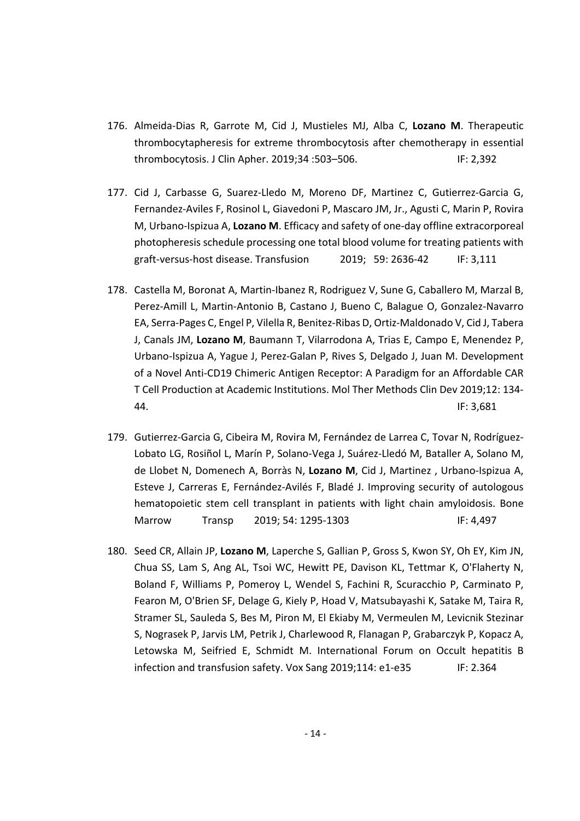- 176. Almeida‐Dias R, Garrote M, Cid J, Mustieles MJ, Alba C, **Lozano M**. Therapeutic thrombocytapheresis for extreme thrombocytosis after chemotherapy in essential thrombocytosis. J Clin Apher. 2019;34 :503–506. IF: 2,392
- 177. Cid J, Carbasse G, Suarez‐Lledo M, Moreno DF, Martinez C, Gutierrez‐Garcia G, Fernandez‐Aviles F, Rosinol L, Giavedoni P, Mascaro JM, Jr., Agusti C, Marin P, Rovira M, Urbano‐Ispizua A, **Lozano M**. Efficacy and safety of one‐day offline extracorporeal photopheresis schedule processing one total blood volume for treating patients with graft‐versus‐host disease. Transfusion 2019; 59: 2636‐42 IF: 3,111
- 178. Castella M, Boronat A, Martin‐Ibanez R, Rodriguez V, Sune G, Caballero M, Marzal B, Perez‐Amill L, Martin‐Antonio B, Castano J, Bueno C, Balague O, Gonzalez‐Navarro EA, Serra‐Pages C, Engel P, Vilella R, Benitez‐Ribas D, Ortiz‐Maldonado V, Cid J, Tabera J, Canals JM, **Lozano M**, Baumann T, Vilarrodona A, Trias E, Campo E, Menendez P, Urbano‐Ispizua A, Yague J, Perez‐Galan P, Rives S, Delgado J, Juan M. Development of a Novel Anti‐CD19 Chimeric Antigen Receptor: A Paradigm for an Affordable CAR T Cell Production at Academic Institutions. Mol Ther Methods Clin Dev 2019;12: 134‐ 44. IF: 3,681
- 179. Gutierrez-Garcia G, Cibeira M, Rovira M, Fernández de Larrea C, Tovar N, Rodríguez-Lobato LG, Rosiñol L, Marín P, Solano‐Vega J, Suárez‐Lledó M, Bataller A, Solano M, de Llobet N, Domenech A, Borràs N, **Lozano M**, Cid J, Martinez , Urbano‐Ispizua A, Esteve J, Carreras E, Fernández‐Avilés F, Bladé J. Improving security of autologous hematopoietic stem cell transplant in patients with light chain amyloidosis. Bone Marrow Transp 2019; 54: 1295‐1303 IF: 4,497
- 180. Seed CR, Allain JP, **Lozano M**, Laperche S, Gallian P, Gross S, Kwon SY, Oh EY, Kim JN, Chua SS, Lam S, Ang AL, Tsoi WC, Hewitt PE, Davison KL, Tettmar K, O'Flaherty N, Boland F, Williams P, Pomeroy L, Wendel S, Fachini R, Scuracchio P, Carminato P, Fearon M, O'Brien SF, Delage G, Kiely P, Hoad V, Matsubayashi K, Satake M, Taira R, Stramer SL, Sauleda S, Bes M, Piron M, El Ekiaby M, Vermeulen M, Levicnik Stezinar S, Nograsek P, Jarvis LM, Petrik J, Charlewood R, Flanagan P, Grabarczyk P, Kopacz A, Letowska M, Seifried E, Schmidt M. International Forum on Occult hepatitis B infection and transfusion safety. Vox Sang 2019;114: e1-e35 IF: 2.364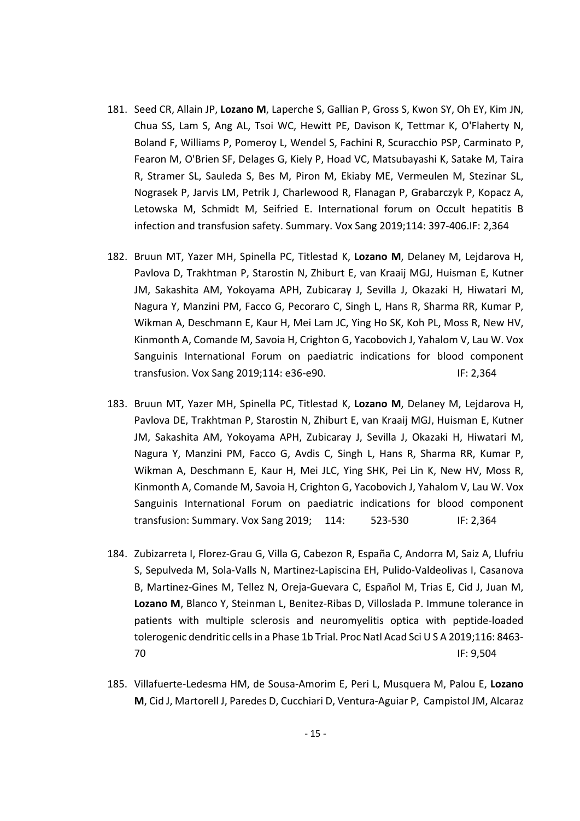- 181. Seed CR, Allain JP, **Lozano M**, Laperche S, Gallian P, Gross S, Kwon SY, Oh EY, Kim JN, Chua SS, Lam S, Ang AL, Tsoi WC, Hewitt PE, Davison K, Tettmar K, O'Flaherty N, Boland F, Williams P, Pomeroy L, Wendel S, Fachini R, Scuracchio PSP, Carminato P, Fearon M, O'Brien SF, Delages G, Kiely P, Hoad VC, Matsubayashi K, Satake M, Taira R, Stramer SL, Sauleda S, Bes M, Piron M, Ekiaby ME, Vermeulen M, Stezinar SL, Nograsek P, Jarvis LM, Petrik J, Charlewood R, Flanagan P, Grabarczyk P, Kopacz A, Letowska M, Schmidt M, Seifried E. International forum on Occult hepatitis B infection and transfusion safety. Summary. Vox Sang 2019;114: 397‐406.IF: 2,364
- 182. Bruun MT, Yazer MH, Spinella PC, Titlestad K, **Lozano M**, Delaney M, Lejdarova H, Pavlova D, Trakhtman P, Starostin N, Zhiburt E, van Kraaij MGJ, Huisman E, Kutner JM, Sakashita AM, Yokoyama APH, Zubicaray J, Sevilla J, Okazaki H, Hiwatari M, Nagura Y, Manzini PM, Facco G, Pecoraro C, Singh L, Hans R, Sharma RR, Kumar P, Wikman A, Deschmann E, Kaur H, Mei Lam JC, Ying Ho SK, Koh PL, Moss R, New HV, Kinmonth A, Comande M, Savoia H, Crighton G, Yacobovich J, Yahalom V, Lau W. Vox Sanguinis International Forum on paediatric indications for blood component transfusion. Vox Sang 2019;114: e36‐e90. IF: 2,364
- 183. Bruun MT, Yazer MH, Spinella PC, Titlestad K, **Lozano M**, Delaney M, Lejdarova H, Pavlova DE, Trakhtman P, Starostin N, Zhiburt E, van Kraaij MGJ, Huisman E, Kutner JM, Sakashita AM, Yokoyama APH, Zubicaray J, Sevilla J, Okazaki H, Hiwatari M, Nagura Y, Manzini PM, Facco G, Avdis C, Singh L, Hans R, Sharma RR, Kumar P, Wikman A, Deschmann E, Kaur H, Mei JLC, Ying SHK, Pei Lin K, New HV, Moss R, Kinmonth A, Comande M, Savoia H, Crighton G, Yacobovich J, Yahalom V, Lau W. Vox Sanguinis International Forum on paediatric indications for blood component transfusion: Summary. Vox Sang 2019; 114: 523‐530 IF: 2,364
- 184. Zubizarreta I, Florez‐Grau G, Villa G, Cabezon R, España C, Andorra M, Saiz A, Llufriu S, Sepulveda M, Sola‐Valls N, Martinez‐Lapiscina EH, Pulido‐Valdeolivas I, Casanova B, Martinez‐Gines M, Tellez N, Oreja‐Guevara C, Español M, Trias E, Cid J, Juan M, **Lozano M**, Blanco Y, Steinman L, Benitez‐Ribas D, Villoslada P. Immune tolerance in patients with multiple sclerosis and neuromyelitis optica with peptide‐loaded tolerogenic dendritic cells in a Phase 1b Trial. Proc Natl Acad Sci U S A 2019;116: 8463-70 IF: 9,504
- 185. Villafuerte‐Ledesma HM, de Sousa‐Amorim E, Peri L, Musquera M, Palou E, **Lozano M**, Cid J, Martorell J, Paredes D, Cucchiari D, Ventura‐Aguiar P, Campistol JM, Alcaraz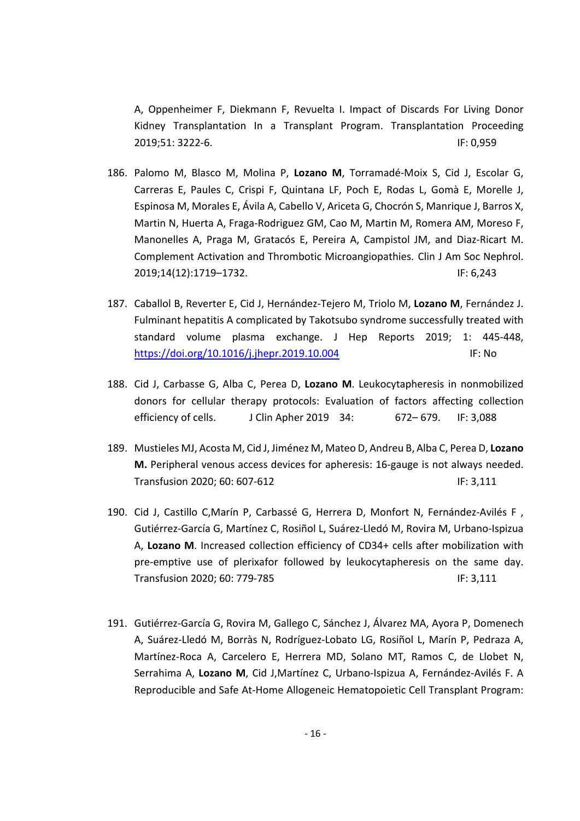A, Oppenheimer F, Diekmann F, Revuelta I. Impact of Discards For Living Donor Kidney Transplantation In a Transplant Program. Transplantation Proceeding 2019;51: 3222‐6. IF: 0,959

- 186. Palomo M, Blasco M, Molina P, **Lozano M**, Torramadé‐Moix S, Cid J, Escolar G, Carreras E, Paules C, Crispi F, Quintana LF, Poch E, Rodas L, Gomà E, Morelle J, Espinosa M, Morales E, Ávila A, Cabello V, Ariceta G, Chocrón S, Manrique J, Barros X, Martin N, Huerta A, Fraga‐Rodriguez GM, Cao M, Martin M, Romera AM, Moreso F, Manonelles A, Praga M, Gratacós E, Pereira A, Campistol JM, and Diaz‐Ricart M. Complement Activation and Thrombotic Microangiopathies. Clin J Am Soc Nephrol. 2019;14(12):1719–1732. IF: 6,243
- 187. Caballol B, Reverter E, Cid J, Hernández‐Tejero M, Triolo M, **Lozano M**, Fernández J. Fulminant hepatitis A complicated by Takotsubo syndrome successfully treated with standard volume plasma exchange. J Hep Reports 2019; 1: 445‐448, https://doi.org/10.1016/j.jhepr.2019.10.004 IF: No
- 188. Cid J, Carbasse G, Alba C, Perea D, **Lozano M**. Leukocytapheresis in nonmobilized donors for cellular therapy protocols: Evaluation of factors affecting collection efficiency of cells. J Clin Apher 2019 34: 672-679. IF: 3,088
- 189. Mustieles MJ, Acosta M, Cid J, Jiménez M, Mateo D, Andreu B, Alba C, Perea D, **Lozano M.** Peripheral venous access devices for apheresis: 16‐gauge is not always needed. Transfusion 2020; 60: 607-612 IF: 3,111
- 190. Cid J, Castillo C, Marín P, Carbassé G, Herrera D, Monfort N, Fernández-Avilés F, Gutiérrez‐García G, Martínez C, Rosiñol L, Suárez‐Lledó M, Rovira M, Urbano‐Ispizua A, **Lozano M**. Increased collection efficiency of CD34+ cells after mobilization with pre-emptive use of plerixafor followed by leukocytapheresis on the same day. Transfusion 2020; 60: 779-785 IF: 3,111
- 191. Gutiérrez‐García G, Rovira M, Gallego C, Sánchez J, Álvarez MA, Ayora P, Domenech A, Suárez‐Lledó M, Borràs N, Rodríguez‐Lobato LG, Rosiñol L, Marín P, Pedraza A, Martínez‐Roca A, Carcelero E, Herrera MD, Solano MT, Ramos C, de Llobet N, Serrahima A, **Lozano M**, Cid J,Martínez C, Urbano‐Ispizua A, Fernández‐Avilés F. A Reproducible and Safe At‐Home Allogeneic Hematopoietic Cell Transplant Program: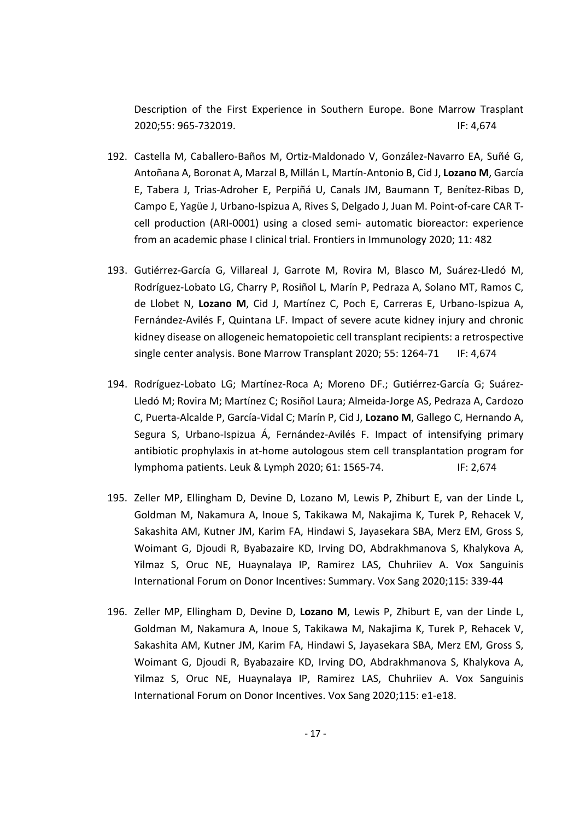Description of the First Experience in Southern Europe. Bone Marrow Trasplant 2020;55: 965‐732019. IF: 4,674

- 192. Castella M, Caballero‐Baños M, Ortiz‐Maldonado V, González‐Navarro EA, Suñé G, Antoñana A, Boronat A, Marzal B, Millán L, Martín‐Antonio B, Cid J, **Lozano M**, García E, Tabera J, Trias‐Adroher E, Perpiñá U, Canals JM, Baumann T, Benítez‐Ribas D, Campo E, Yagüe J, Urbano‐Ispizua A, Rives S, Delgado J, Juan M. Point‐of‐care CAR T‐ cell production (ARI‐0001) using a closed semi‐ automatic bioreactor: experience from an academic phase I clinical trial. Frontiers in Immunology 2020; 11: 482
- 193. Gutiérrez‐García G, Villareal J, Garrote M, Rovira M, Blasco M, Suárez‐Lledó M, Rodríguez‐Lobato LG, Charry P, Rosiñol L, Marín P, Pedraza A, Solano MT, Ramos C, de Llobet N, **Lozano M**, Cid J, Martínez C, Poch E, Carreras E, Urbano‐Ispizua A, Fernández‐Avilés F, Quintana LF. Impact of severe acute kidney injury and chronic kidney disease on allogeneic hematopoietic cell transplant recipients: a retrospective single center analysis. Bone Marrow Transplant 2020; 55: 1264-71 IF: 4,674
- 194. Rodríguez-Lobato LG; Martínez-Roca A; Moreno DF.; Gutiérrez-García G; Suárez-Lledó M; Rovira M; Martínez C; Rosiñol Laura; Almeida‐Jorge AS, Pedraza A, Cardozo C, Puerta‐Alcalde P, García‐Vidal C; Marín P, Cid J, **Lozano M**, Gallego C, Hernando A, Segura S, Urbano‐Ispizua Á, Fernández‐Avilés F. Impact of intensifying primary antibiotic prophylaxis in at‐home autologous stem cell transplantation program for lymphoma patients. Leuk & Lymph 2020; 61: 1565‐74. IF: 2,674
- 195. Zeller MP, Ellingham D, Devine D, Lozano M, Lewis P, Zhiburt E, van der Linde L, Goldman M, Nakamura A, Inoue S, Takikawa M, Nakajima K, Turek P, Rehacek V, Sakashita AM, Kutner JM, Karim FA, Hindawi S, Jayasekara SBA, Merz EM, Gross S, Woimant G, Djoudi R, Byabazaire KD, Irving DO, Abdrakhmanova S, Khalykova A, Yilmaz S, Oruc NE, Huaynalaya IP, Ramirez LAS, Chuhriiev A. Vox Sanguinis International Forum on Donor Incentives: Summary. Vox Sang 2020;115: 339‐44
- 196. Zeller MP, Ellingham D, Devine D, **Lozano M**, Lewis P, Zhiburt E, van der Linde L, Goldman M, Nakamura A, Inoue S, Takikawa M, Nakajima K, Turek P, Rehacek V, Sakashita AM, Kutner JM, Karim FA, Hindawi S, Jayasekara SBA, Merz EM, Gross S, Woimant G, Djoudi R, Byabazaire KD, Irving DO, Abdrakhmanova S, Khalykova A, Yilmaz S, Oruc NE, Huaynalaya IP, Ramirez LAS, Chuhriiev A. Vox Sanguinis International Forum on Donor Incentives. Vox Sang 2020;115: e1‐e18.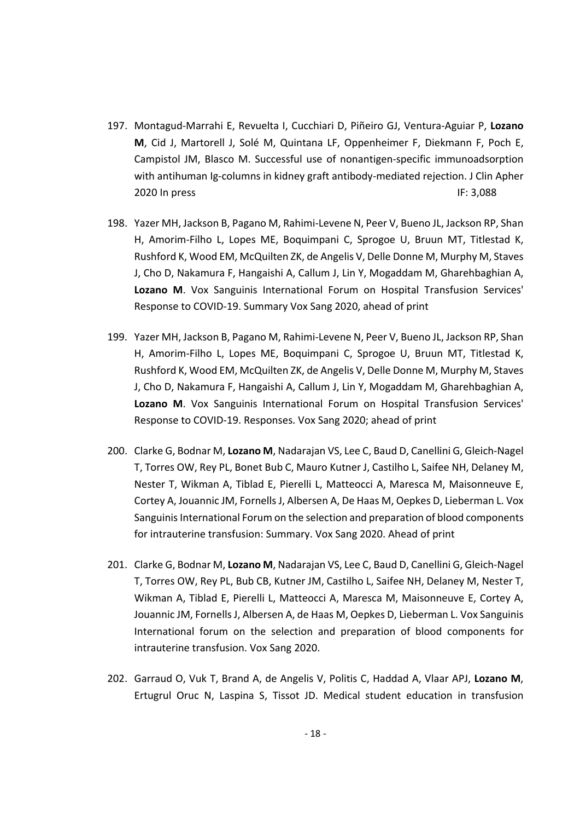- 197. Montagud‐Marrahi E, Revuelta I, Cucchiari D, Piñeiro GJ, Ventura‐Aguiar P, **Lozano M**, Cid J, Martorell J, Solé M, Quintana LF, Oppenheimer F, Diekmann F, Poch E, Campistol JM, Blasco M. Successful use of nonantigen‐specific immunoadsorption with antihuman Ig-columns in kidney graft antibody-mediated rejection. J Clin Apher 2020 In press IF: 3,088
- 198. Yazer MH, Jackson B, Pagano M, Rahimi‐Levene N, Peer V, Bueno JL, Jackson RP, Shan H, Amorim‐Filho L, Lopes ME, Boquimpani C, Sprogoe U, Bruun MT, Titlestad K, Rushford K, Wood EM, McQuilten ZK, de Angelis V, Delle Donne M, Murphy M, Staves J, Cho D, Nakamura F, Hangaishi A, Callum J, Lin Y, Mogaddam M, Gharehbaghian A, **Lozano M**. Vox Sanguinis International Forum on Hospital Transfusion Services' Response to COVID‐19. Summary Vox Sang 2020, ahead of print
- 199. Yazer MH, Jackson B, Pagano M, Rahimi‐Levene N, Peer V, Bueno JL, Jackson RP, Shan H, Amorim‐Filho L, Lopes ME, Boquimpani C, Sprogoe U, Bruun MT, Titlestad K, Rushford K, Wood EM, McQuilten ZK, de Angelis V, Delle Donne M, Murphy M, Staves J, Cho D, Nakamura F, Hangaishi A, Callum J, Lin Y, Mogaddam M, Gharehbaghian A, **Lozano M**. Vox Sanguinis International Forum on Hospital Transfusion Services' Response to COVID‐19. Responses. Vox Sang 2020; ahead of print
- 200. Clarke G, Bodnar M, **Lozano M**, Nadarajan VS, Lee C, Baud D, Canellini G, Gleich‐Nagel T, Torres OW, Rey PL, Bonet Bub C, Mauro Kutner J, Castilho L, Saifee NH, Delaney M, Nester T, Wikman A, Tiblad E, Pierelli L, Matteocci A, Maresca M, Maisonneuve E, Cortey A, Jouannic JM, Fornells J, Albersen A, De Haas M, Oepkes D, Lieberman L. Vox Sanguinis International Forum on the selection and preparation of blood components for intrauterine transfusion: Summary. Vox Sang 2020. Ahead of print
- 201. Clarke G, Bodnar M, **Lozano M**, Nadarajan VS, Lee C, Baud D, Canellini G, Gleich‐Nagel T, Torres OW, Rey PL, Bub CB, Kutner JM, Castilho L, Saifee NH, Delaney M, Nester T, Wikman A, Tiblad E, Pierelli L, Matteocci A, Maresca M, Maisonneuve E, Cortey A, Jouannic JM, FornellsJ, Albersen A, de Haas M, Oepkes D, Lieberman L. Vox Sanguinis International forum on the selection and preparation of blood components for intrauterine transfusion. Vox Sang 2020.
- 202. Garraud O, Vuk T, Brand A, de Angelis V, Politis C, Haddad A, Vlaar APJ, **Lozano M**, Ertugrul Oruc N, Laspina S, Tissot JD. Medical student education in transfusion